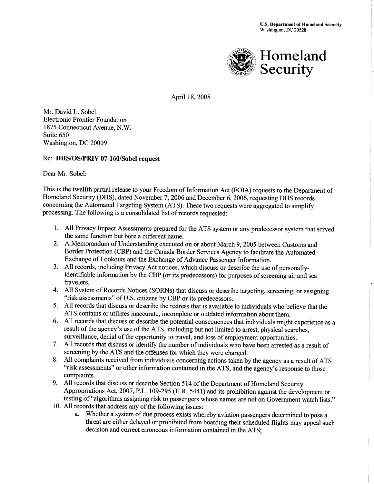

April 18,2008

Mr. David L. Sobel EI ectronic Frontier Foundation 1875 Connecticut Avenue, N.W. Suite 650 Washington, DC 20009

# Re: DHS/OS/PRM7-160/SobeI request

Dear Mr. Sobel:

This is the twelfth partial release to your Freedom of Information Act (FOIA) requests to the Department of Homeland Security (DHS), dated November 7, 2006 and December 6, 2006, requesting DHS records concerning the Automated Targeting System (ATS). These two requests were aggregated to simplify processing. The following is a consolidated list of records requested:

- 1. All Privacy Impact Assessments prepared for the ATS system or any predecessor system that served the same function but bore a different name.
- 2. A Memorandum of Understanding executed on or about March 9,2005 between Customs and Border Protection (CBP) and the Canada Border Services Agency to facilitate the Automated Exchange of Lookouts and the Exchange of Advance Passenger Information.
- 3. All records, including Privacy Act notices, which discuss or describe the use of personallyidentifiable information by the CBP (or its predecessors) for purposes of screening air and sea travelers.
- 4. All System of Records Notices (SORNs) that discuss or describe targeting, screening, or assigning "risk assessments" of U.S. citizens by CBP or its predecessors.
- 5. All records that discuss or describe the redress that is available to individuals who believe that the ATS contains or utilizes inaccurate, incomplete or outdated information about them.
- 6. All records that discuss or describe the potential consequences that individuals might experience as <sup>a</sup> result of the agency's use of the ATS, including but not limited to arrest, physical searches, surveillance, denial of the opportunity to travel, and loss of employment opportunities.
- 7. All records that discuss or identify the number of individuals who have been arrested as a result of screening by the ATS and the offenses for which they were charged.
- 8. All complaints received from individuals concerning actions taken by the agency as a result of ATS "risk assessments" or other information contained in the ATS, and the agency's response to those complaints.
- 9. All records that discuss or describe Section 514 of the Department of Homeland Security Appropriations Act, 2007,P.L. 109-295 (H.R. 5441) and its prohibition against the development or testing of "algorithms assigning risk to passengers whose names are not on Government watch lists."
- 10. All records that address any of the following issues:
	- a. Whether a system of due process exists whereby aviation passengers determined to pose <sup>a</sup> threat are either delayed or prohibited from boarding their scheduled flights may appeal such decision and correct erroneous information contained in the ATS;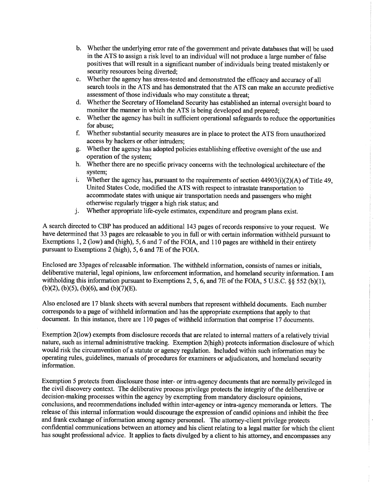- b. Whether the underlying error rate of the government and private databases that will be used in the ATS to assign a risk level to an individual will not produce a large number of false positives that will result in a significant number of individuals being treated mistakenly or security resources being diverted;
- c. Whether the agency has stress-tested and demonstrated the efficacy and accuracy of all search tools in the ATS and has demonstrated that the ATS can make an accurate predictive assessment of those individuals who may constitute a threat;
- d. Whether the Secretary of Homeland Security has established an internal oversight board to monitor the manner in which the ATS is being developed and prepared;
- e. Whether the agency has built in sufficient operational safeguards to reduce the opportunities for abuse;
- f. Whether substantial security measures are in place to protect the ATS from unauthorized access by hackers or other intruders;
- g. Whether the agency has adopted policies establishing effective oversight of the use and operation of the system;
- h. Whether there are no specific privacy concerns with the technological architecture of the system;
- i. Whether the agency has, pursuant to the requirements of section  $44903(i)(2)(A)$  of Title 49, United States Code, modified the ATS with respect to intrastate transportation to accommodate states with unique air transportation needs and passengers who might
- j. Whether appropriate life-cycle estimates, expenditure and program plans exist.

A search directed to CBP has produced an additional 143 pages of records responsive to your request. We have determined that 33 pages are releasable to you in full or with certain information withheld pursuant to Exemptions 1, 2 (low) and (high), 5, 6 and 7 of the FOIA, and 110 pages are withheld in their entirety pursuant to Exemptions 2 (high), 5, 6 and 7E of the FOIA.

Enclosed are 33pages of releasable information. The withheld information, consists of names or initials, deliberative material, legal opinions, law enforcement information, and homeland security information. I am withholding this information pursuant to Exemptions 2, 5, 6, and 7E of the FOIA, 5 U.S.C. §§ 552 (b)(1),  $(b)(2)$ ,  $(b)(5)$ ,  $(b)(6)$ , and  $(b)(7)(E)$ .

Also enclosed are 17 blank sheets with several numbers that represent withheld documents. Each number corresponds to a page of withheld information and has the appropriate exemptions that apply to that document. In this instance, there are 110 pages of withheld information that comprise 17 documents.

Exemption 2(low) exempts from disclosure records that are related to intemal matters of a relatively trivial nature, such as internal administrative tracking. Exemption 2(high) protects information disclosure of which would risk the circumvention of a statute or agency regulation. Included within such information may be operating rules, guidelines, manuals of procedures for examiners or adjudicators, and homeland security information.

Exemption 5 protects from disclosure those inter- or intra-agency documents that are normally privileged in the civil discovery context. The deliberative process privilege protects the integrity of the deliberative or decision-making processes within the agency by exempting from mandatory disclosure opinions, conclusions, and recommendations included within inter-agency or intra-agency memoranda or letters. The release of this internal information would discourage the expression of candid opinions and inhibit the free and frank exchange of information among agency personnel. The attorney-client privilege protects confidential communications between an attorney and his client relating to a legal matter for which the client has sought professional advice. It applies to facts divulged by a client to his attorney, and encompasses any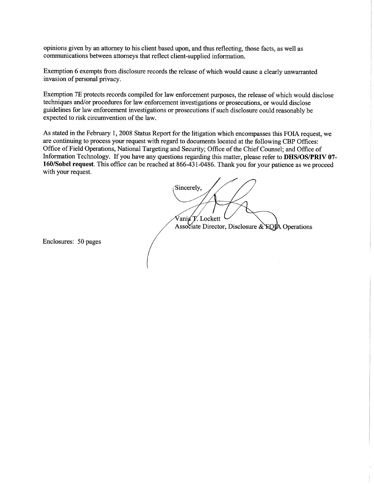opinions given by an attorney to his client based upon, and thus reflecting, those facts, as well as communications between attorneys that reflect client-supplied information.

Exemption 6 exempts from disclosure records the release of which would cause a clearly unwarranted invasion of personal privacy.

Exemption 7E protects records compiled for law enforcement purposes, the release of which would disclose techniques and/or procedures for law enforcement investigations or prosecutions, or would disclose guidelines for law enforcement investigations or prosecutions if such disclosure could reasonably be expected to risk circumvention of the law.

As stated in the February 1, 2008 Status Report for the litigation which encompasses this FOIA request, we are continuing to process your request with regard to documents located at the following CBP Offices: Office of Field Operations, National Targeting and Security; Office of the Chief Counsel; and Office of Information Technology. If you have any questions regarding this matter, please refer to DHS/OS/PRIV 07-160/Sobel request. This office can be reached at 866-431-0486. Thank you for your patience as we proceed with your request.

Sincerely, Vania V. Lockett

Associate Director, Disclosure & **ROJA** Operations

Enclosures: 50 pages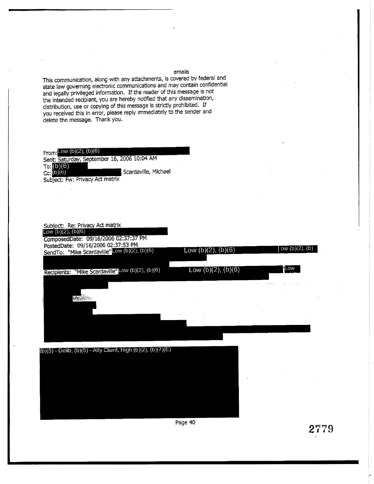This communication, along with any attachments, is covered by federal and state law governing electronic communications and may contain confidential and legally privileged information. If the reader of this message is not the intended recipiant, you are hereby notified that any dissemination, distribution, use or copying of this message is strictly prohibited. If you received this in error, please reply immediately to the sender and delete the message. Thank you.

From: Low (b)(2), (b)(6) Sent: Saturday, September 16, 2006 10:04 AM  $To: (b)(6)$ Scardaville, Michael  $Cc: (D)(6)$ Subject: Fw: Privacy Act matrix



Page 40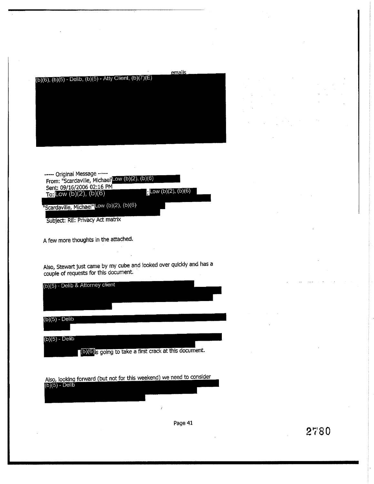emails  $(b)(6)$ ,  $(b)(5)$  - Delib,  $(b)(5)$  - Atty Client,  $(b)(7)(E)$ 

----- Original Message -----From: "Scardaville, Michael" - 0w (b)(2), (b)(6)<br>Sent: 09/16/2006 02:16 PM<br>To: LOW (b)(2), (b)(6)  $\pm$ Low (b)(2), (b)(6) "Scardaville, Michael"Low (b)(2), (b)(6) Subject: RE: Privacy Act matrix

A few more thoughts in the attached.

Also, Stewart just came by my cube and looked over qulckly and has <sup>a</sup> couple of requests for this document'

(b)(5) - Delib & Attorney client  $(b)(5)$  - Delib  $(b)(5)$  - Delib (b)(6) is going to take a first crack at this document.

Also, looking forward (but not for this weekend) we need to consider<br>(b)(5) - Delib

Page 41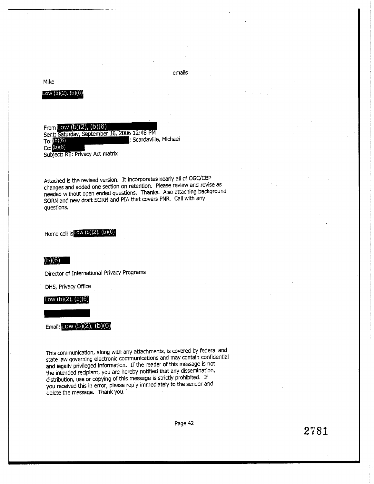# Mike

# Low  $(b)(2)$ ,  $(b)(6)$

From Low  $(b)(2)$ ,  $(b)(6)$ Sent: Saturday, September 16, 2006 12:48 PM ; Scardaville, Michael To: (b) (6)  $Cc: (b)(6)$ Subject: RE: Privacy Act matrix

Attached is the revised version. It incorporates nearly all of OGC/CBP changes and added one section on retention. Please review and revise as needed without open ended questions. Thanks. Also attaching background SORN and new draft SORN and PIA that covers PNR. Call with any questions.

Home cell is Low  $(b)(2)$ ,  $(b)(6)$ 

#### $(b)(6)$

Director of International Privacy Programs

DHS, Privacy Office

#### Low (b)(2), (b)(6)

Email: Low  $(b)(2)$ ,  $(b)(6)$ 

This communication, along with any attachments, is covered by federal and state law governing electronic communications and may contain confidential and legally privileged information. If the reader of this message is not the intended recipiant, you are hereby notified that any dissemination, distribution, use or copying of this message is strictly prohibited. If you received this in error, please reply immediately to the sender and delete the message. Thank you.

Page 42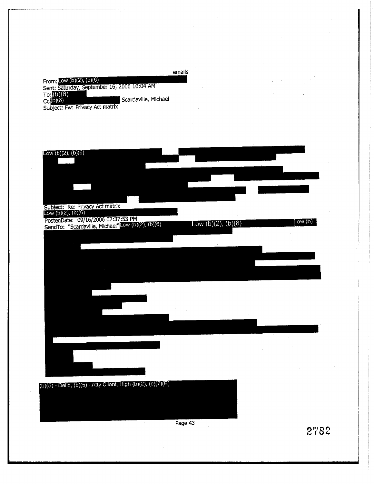|                                             | emails |
|---------------------------------------------|--------|
| From: Low $(b)(2)$ , $(b)(6)$               |        |
| Sent: Saturday, September 16, 2006 10:04 AM |        |
| Tor(6)(6)                                   |        |
| Scardaville, Michael<br>$Cc$ (b)(6)         |        |
| Subject: Fw: Privacy Act matrix             |        |



Page 43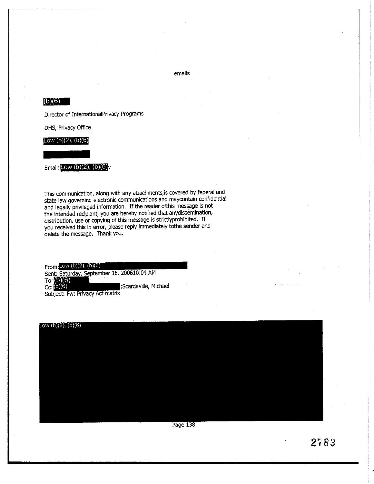# $(b)(6)$

Director of InternationalPrivacy Programs

DHS, Privacy Office

Low  $(b)(2)$ ,  $(b)(6)$ 

Email: Low (b)(2), (b)(6)<sub>V</sub>

This communication, along with any attachments, is covered by federal and state law governing electronic communications and maycontain confidential and legally privileged information. If the reader of this message is not the intended recipiant, you are hereby notified that anydissemination, distribution, use or copying of this message is strictlyprohibited. If you received this in error, please reply immediately tothe sender and delete the message. Thank you.

From: Low  $(b)(2)$ ,  $(b)(6)$ Sent: Saturday, September 16, 200610:04 AM To:  $(b)(6)$ <br>Cc:  $(b)(6)$ Scardaville, Michael Subject: Fw: Privacy Act matrix

Low  $(b)(2)$ ,  $(b)(6)$ 

Page 138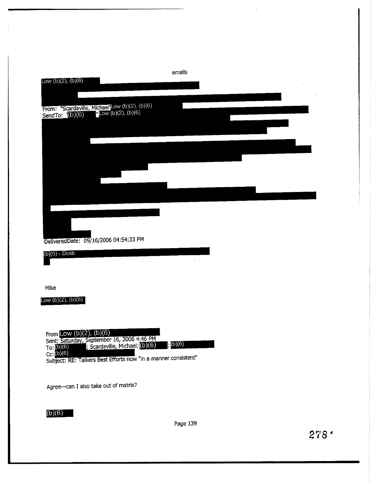| Low $(b)(2)$ , $(b)(6)$              |                                                                                                                                                                                 | emails                                                                                                                                                                                                                      |                                                                                          |  |  |
|--------------------------------------|---------------------------------------------------------------------------------------------------------------------------------------------------------------------------------|-----------------------------------------------------------------------------------------------------------------------------------------------------------------------------------------------------------------------------|------------------------------------------------------------------------------------------|--|--|
|                                      |                                                                                                                                                                                 |                                                                                                                                                                                                                             |                                                                                          |  |  |
|                                      |                                                                                                                                                                                 |                                                                                                                                                                                                                             |                                                                                          |  |  |
|                                      |                                                                                                                                                                                 |                                                                                                                                                                                                                             |                                                                                          |  |  |
|                                      |                                                                                                                                                                                 |                                                                                                                                                                                                                             |                                                                                          |  |  |
|                                      |                                                                                                                                                                                 |                                                                                                                                                                                                                             |                                                                                          |  |  |
|                                      | DeliveredDate: 09/16/2006 04:54:33 PM                                                                                                                                           |                                                                                                                                                                                                                             |                                                                                          |  |  |
| $(b)(5)$ - Delib                     |                                                                                                                                                                                 |                                                                                                                                                                                                                             |                                                                                          |  |  |
| Mike                                 |                                                                                                                                                                                 |                                                                                                                                                                                                                             |                                                                                          |  |  |
| Low $(b)(2)$ , $(b)(6)$              |                                                                                                                                                                                 |                                                                                                                                                                                                                             |                                                                                          |  |  |
| To: $(b)(6)$<br>Cc: $(b)(6)$         | From Low $(b)(2)$ , $(b)(6)$<br>Sent: Saturday, September 16, 2006 4:46 PM<br>; Scardaville, Michael; (D) (6)<br>Subject: RE: Talkers Best Efforts now "in a manner consistent" | ; (b)(6)<br>$\label{eq:2.1} \begin{array}{l} \mathcal{A}_{\mathcal{A}} \\ \mathcal{A}_{\mathcal{A}} \end{array} \quad \mbox{and} \quad \begin{array}{l} \mathcal{A}_{\mathcal{A}} \\ \mathcal{A}_{\mathcal{A}} \end{array}$ | $\mathcal{L}(\mathcal{A})$ and $\mathcal{A}(\mathcal{A})$ and $\mathcal{A}(\mathcal{A})$ |  |  |
| Agree-can I also take out of matrix? |                                                                                                                                                                                 |                                                                                                                                                                                                                             |                                                                                          |  |  |

 $(b)(6)$ 

Page 139

 $\sim$   $\sim$ 

 $\hat{\mathbf{v}}$ 

 $\bar{z}$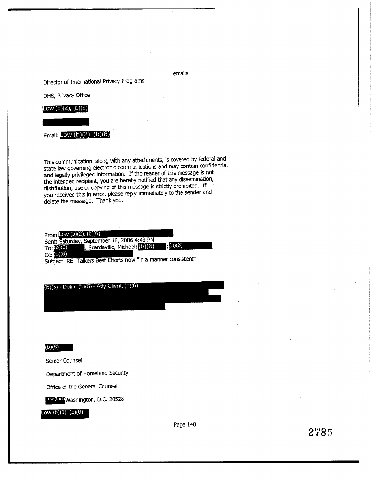# Director of International Privacy Programs

DHS, Privacy Office

# Low  $(b)(2)$ ,  $(b)(6)$

**Email:** Low  $(b)(2)$ ,  $(b)(6)$ 

This communication, along with any attachments, is covered by federal and state law governing electronic communications and may contain confidential and legally privileged information. If the reader of this message is not the intended recipiant, you are hereby notified that any dissemination, distribution, use or copying of this message is strictly prohibited. If you received this in error, please reply immediately to the sender and delete the message. Thank you.

From: Low  $(b)(2)$ ,  $(b)(6)$ Sent: Saturday, September 16, 2006 4:43 PM  $(b)(6)$ ; Scardaville, Michael; (b) (6) To: (b)(6)  $Cc: (b)(6)$ 

Subject: RE: Talkers Best Efforts now "in a manner consistent"

 $(b)(5)$  - Delib,  $(b)(5)$  - Atty Client,  $(b)(6)$ 

 $(b)(6)$ 

Senior Counsel

Department of Homeland Security

Office of the General Counsel

Low (b)(2) Washington, D.C. 20528

# Low  $(b)(2)$ ,  $(b)(6)$

Page 140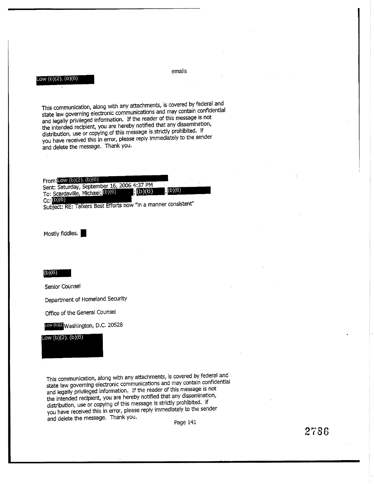#### Low (b)(2), (b)(6)

emails

This communication, along with any attachments, is covered by federal and state law governing electronic communications and may contain confidential and legally privileged information. If the reader of this message is not the intended recipient, you are hereby notified that any dissemination, distribution, use or copying of this message is strictly prohibited. If you have received this in error, please reply immediately to the sender and delete the message. Thank you.

| From Low $(b)(2)$ , $(b)(6)$                          |  |
|-------------------------------------------------------|--|
| Sent: Saturday, September 16, 2006 4:37 PM            |  |
| , (b)(6)<br>(2)(6)<br>To: Scardaville, Michael; (DIG) |  |
| Cc; (b)(6)                                            |  |
| www.communication.com                                 |  |

Subject: RE: Talkers Best Efforts now "in a manner consistent"

Mostly fiddles.

#### (b)(6)

Senior Counsel

Department of Homeland Security

Office of the General Counsel

Low (b) 2 Washington, D.C. 20528

Low  $(b)(2)$ ,  $(b)(6)$ 

This communication, along with any attachments, is covered by federal and state law governing electronic communications and may contain confidential and legally privileged information. If the reader of this message is not the intended recipient, you are hereby notified that any dissemination, distribution, use or copying of this message is strictly prohibited. if you have received this in error, please reply immediately to the sender and delete the message. Thank you.

Page 141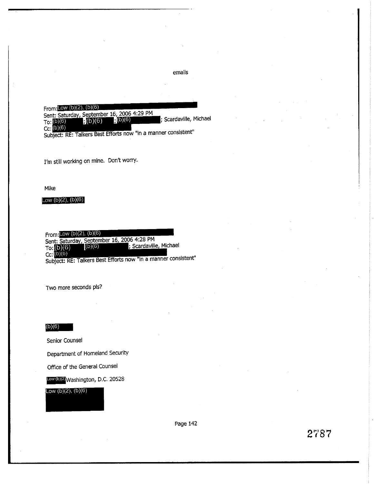From:Low (b)(2), (b)(6) Sent: Saturday, September 16, 2006 4:29 PM<br>To: (0)(6) : (0)(6) : (0)(6) : (0)(6) ; Scardaville, Michael

Subject: RE: Talkers Best Efforts now "in a manner consistent"

I'm still working on mine. Don't worry.

Mike

#### Low  $(b)(2)$ ,  $(b)(6)$

From: Low  $(b)(2)$ ,  $(b)(6)$ Sent: Saturday, September 16, 2006 4:28 PM  $(5)(6)$ ; Scardaville, Michael To:  $(b)(6)$ <br>Cc:  $(b)(6)$ Subject: RE: Talkers Best Efforts now "in a manner consistent"

Two more seconds pls?

# $(b)(6)$

Senior Counsel

Department of Homeland Security

Office of the General Counsel

Low (b)(2) Washington, D.C. 20528

Low (b) $(2)$ ,  $(b)(6)$ 

Page 142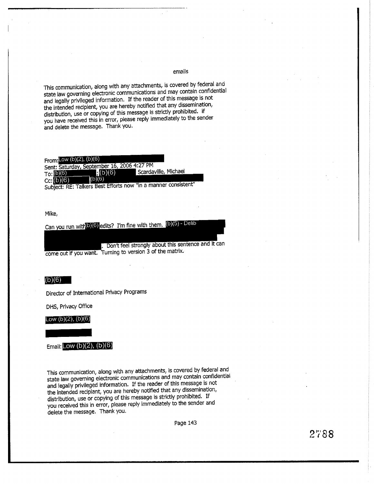This communication, along with any attachments, is covered by federal and state law governing electronic communications and may contain confidential and legally privileged information. If the reader of this message is not the intended recipient, you are hereby notified that any dissemination, distribution, use or copying of this message is strictly prohibited. if you have received this in error, please reply immediately to the sender and delete the message. Thank you.

From:  $Low (b)(2)$ ,  $(b)(6)$ Sent: Saturday, September 16, 2006 4:27 PM Scardaville, Michael  $f_1(b)(6)$  $To: (b)(6)$  $(b)(6)$  $cc: (b)(6)$ 

Subject: RE: Talkers Best Efforts now "in a manner consistent"

Mike,

Can you run with (b) (6) edits? I'm fine with them. (b)(5) - Delib

. Don't feel strongly about this sentence and it can come out if you want. Turning to version 3 of the matrix.

# $(b)(6)$

Director of International Privacy Programs

DHS, Privacy Office

Low  $(b)(2)$ ,  $(b)(6)$ 

**Email:** Low  $(b)(2)$ ,  $(b)(6)$ 

This communication, along with any attachments, is covered by federal and state law governing electronic communications and may contain confidential and legally privileged information. If the reader of this message is not the intended reciplant, you are hereby notified that any dissemination, distribution, use or copying of this message is strictly prohibited. If you received this in error, please reply immediately to the sender and delete the message. Thank you.

Page 143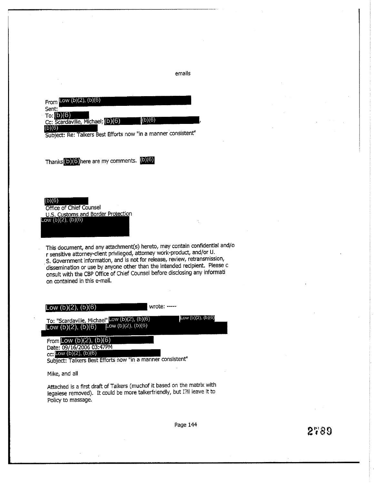From Low  $(b)(2)$ ,  $(b)(6)$ Sent:  $To: (b)(6)$  $(b)(6)$ Cc: Scardaville, Michael; (b) (6)  $(b)(6)$ 

Subject: Re: Talkers Best Efforts now "in a manner consistent"

Thanks (b) (6) here are my comments. (b) (6)

 $(b)(6)$ 

Office of Chief Counsel U.S. Customs and Border Protection  $Low (b)(2), (b)(6)$ 

This document, and any attachment(s) hereto, may contain confidential and/o r sensitive attorney-client privileged, attorney work-product, and/or U. S. Government information, and is not for release, review, retransmission, dissemination or use by anyone other than the intended recipient. Please c onsult with the CBP Office of Chief Counsel before disclosing any informati on contained in this e-mail.

Low  $(b)(2)$ ,  $(b)(6)$ 

wrote: -----

emails

To: "Scardaville, Michael" Low (b)(2), (b)(6) [Low (b)(2), (b)(6) Low  $(b)(2)$ ,  $(b)(6)$ 

From Low  $(b)(2)$ ,  $(b)(6)$ Date: 09/16/2006 03:47PM cc: Low  $(b)(2)$ ,  $(b)(6)$ 

Subject: Talkers Best Efforts now "in a manner consistent"

Mike, and all

Attached is a first draft of Talkers (muchof it based on the matrix with legalese removed). It could be more talkerfriendly, but I?II leave it to Policy to massage.

Page 144

Low  $(b)(2)$ ,  $(b)(6)$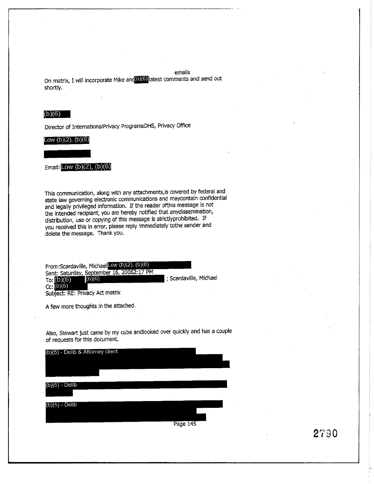emails On matrix, I will incorporate Mike and D) (6) latest comments and send out shortly.

# $(b)(6)$

Director of InternationalPrivacy ProgramsDHS, Privacy Office

#### Low (b)(2), (b)(6)

Email: Low (b)(2),  $(b)(6)$ 

This communication, along with any attachments, is covered by federal and state law governing electronic communications and maycontain confidential and legally privileged information. If the reader of this message is not the intended recipiant, you are hereby notified that anydissemination, distribution, use or copying of this message is strictlyprohibited. If you received this in error, please reply immediately to the sender and delete the message. Thank you.

From: Scardaville, Michael Low (b)(2), (b)(6) Sent: Saturday, September 16, 20062:17 PM ; Scardaville, Michael  $(b)(6)$ To:  $(b)(6)$  $Cc: (b)(6)$ 

Subject: RE: Privacy Act matrix

A few more thoughts in the attached.

Also, Stewart just came by my cube and looked over quickly and has a couple of requests for this document.

| (b)(5) - Delib & Attorney client |          |  |
|----------------------------------|----------|--|
|                                  |          |  |
| $(b)(5)$ - Delib                 |          |  |
| (b)(5) - Delib                   |          |  |
|                                  | Page 145 |  |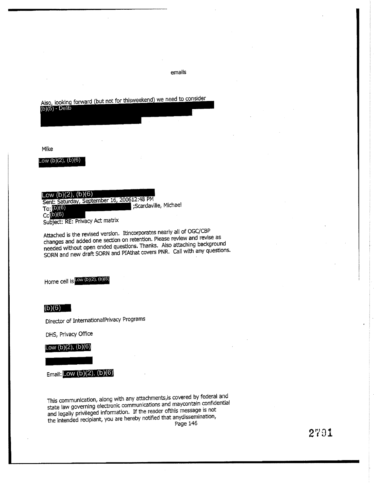Also, looking forward (but not for thisweekend) we need to consider  $(b)(5) - \overline{Delib}$ 

Mike

Low  $(b)(2)$ ,  $(b)(6)$ 

Low  $(b)(2)$ ,  $(b)(6)$ 

Sent: Saturday, September 16, 200612:48 PM ;Scardaville, Michael  $To: (D)(6)$  $Cc(0)(6)$ Subject: RE: Privacy Act matrix

Attached is the revised version. Itincorporates nearly all of OGC/CBP changes and added one section on retention. Please review and revise as needed without open ended questions. Thanks. Also attaching background SORN and new draft SORN and PIAthat covers PNR. Call with any questions.

Home cell is  $L^{\text{OW (b)(2), (b)(6)}}$ 

 $(b)(6)$ 

Director of InternationalPrivacy Programs

DHS, Privacy Office

Low  $(b)(2)$ ,  $(b)(6)$ 

Email: Low  $(b)(2)$ ,  $(b)(6)$ 

This communication, along with any attachments, is covered by federal and state law governing electronic communications and maycontain confidential and legally privileged information. If the reader of this message is not the intended recipiant, you are hereby notified that anydissemination, Page 146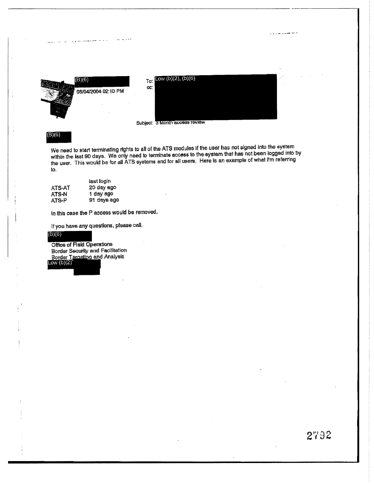

 $(B)(6)$ 

We need to start terminating rights to all of the ATS modules if the user has not signed into the system within the last 90 days. We only need to terminate access to the system that has not been logged into by the user. This would be for all ATS systems and for all users. Here is an example of what I'm referring to.

|        | last login  |
|--------|-------------|
| ATS-AT | 20 day ago  |
| ATS-N  | 1 day ago   |
| ATS-P  | 91 days ago |

In this case the P access would be removed.

If you have any questions, please call.

 $(B)(6)$ 

Office of Field Operations Border Security and Facilitation **Border Targeting and Analysis** Low  $(b)(2)$ 

a la segunda de la constitución de la constitución de la constitución de la constitución de la constitución de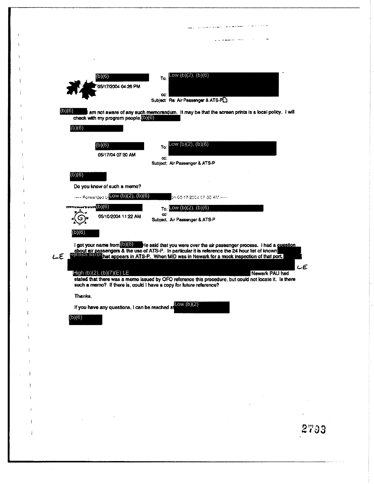

ł

2793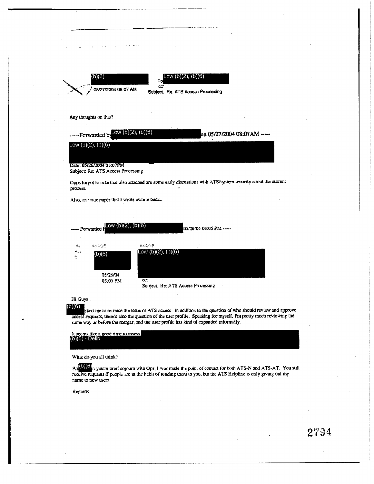|                            | 05/27/2004 08:07 AM                           | œ<br>Subject: Re: ATS Access Processing                                                                      |
|----------------------------|-----------------------------------------------|--------------------------------------------------------------------------------------------------------------|
|                            |                                               |                                                                                                              |
|                            |                                               |                                                                                                              |
|                            | Any thoughts on this?                         |                                                                                                              |
|                            | -----Forwarded by Low $(b)(2)$ , $(b)(6)$     | on 05/27/2004 08:07 AM -----                                                                                 |
|                            | Low $(b)(2)$ , $(b)(6)$                       |                                                                                                              |
|                            |                                               |                                                                                                              |
|                            | Date: 05/26/2004 03:07PM                      |                                                                                                              |
|                            |                                               |                                                                                                              |
|                            | Subject: Re: ATS Access Processing            |                                                                                                              |
|                            |                                               |                                                                                                              |
|                            |                                               | Opps forgot to note that also attached are some early discussions with ATS/system security about the current |
|                            |                                               |                                                                                                              |
|                            | Also, an issue paper that I wrote awhile back |                                                                                                              |
| process.                   |                                               |                                                                                                              |
|                            |                                               |                                                                                                              |
|                            | Low (b)(2), (b)(6)<br>– Forwarded b           | 05/26/04 03:05 PM -----                                                                                      |
|                            |                                               |                                                                                                              |
| $\mathcal{P}_{\mathbf{q}}$ | 地名阿富哥                                         | 化二氟化合金                                                                                                       |
|                            | (b)(6)                                        | Low $(b)(2)$ , $(b)(6)$                                                                                      |
|                            |                                               |                                                                                                              |
| AG.<br>ŧ.                  |                                               |                                                                                                              |
|                            | 05/26/04<br>03:05 PM                          | $\infty$<br>Subject: Re: ATS Access Processing                                                               |

 $\mu$  ,  $\mu$  ,  $\mu$  ,  $\mu$ 

 $\sim$   $\sim$ 

same way as before the merger, and the user profile has kind of expanded informally. It seems like a good time to assess.<br>(b) $(5)$  - Delib

What do you all think?

 $P.S(0)(6)$  a you're brief sojourn with Ops. I was made the point of contact for both ATS-N and ATS-AT. You still receive requests if people are in the habit of sending them to you, but the ATS Helpline is only giving out m nume to new users.

Regards.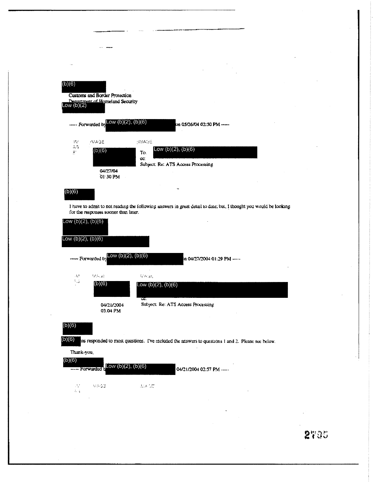| $\sim$ as<br>(b)(6)<br>Low $(b)(2)$ | Customs and Border Protection<br>Dengroment of Homeland Security |                             |                                                               |  |
|-------------------------------------|------------------------------------------------------------------|-----------------------------|---------------------------------------------------------------|--|
|                                     | Forwarded by LOW $(b)(2)$ , $(b)(6)$                             |                             | lm 05/26/04 02:50 PM -----                                    |  |
| W<br>ÀĜ<br>F                        | <b>IMAGE</b><br>(b)(6)<br>04/27/04<br>01:30 PM                   | <b>TIMAGE</b><br>To.<br>CC. | Low $(b)(2)$ , $(b)(6)$<br>Subject: Re: ATS Access Processing |  |
| (b)(6)                              |                                                                  |                             |                                                               |  |

 $\ddotsc$ 

I have to admit to not reading the following answers in great detail to date; but, I thought you would be looking for the responses sooner than later.

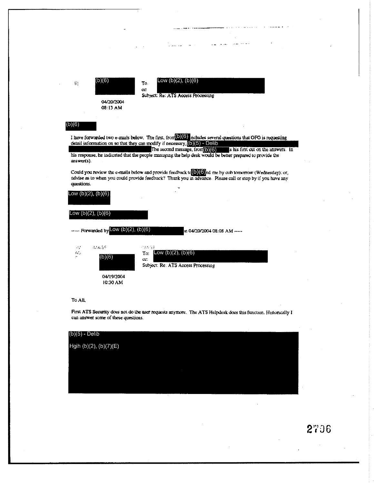

First ATS Security does not do the user requests anymore. The ATS Helpdesk does this function. Historically I can answer some of these questions.

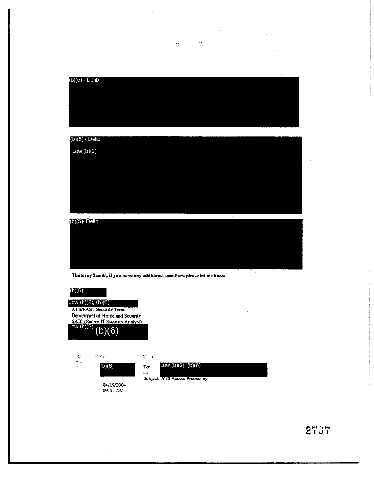$(b)(5)$  - Delib

 $\label{eq:1} \frac{1}{\sqrt{2\pi}}\sum_{i=1}^n\frac{1}{\sqrt{2\pi}}\sum_{i=1}^n\frac{1}{\sqrt{2\pi}}\sum_{i=1}^n\frac{1}{\sqrt{2\pi}}\sum_{i=1}^n\frac{1}{\sqrt{2\pi}}\sum_{i=1}^n\frac{1}{\sqrt{2\pi}}\sum_{i=1}^n\frac{1}{\sqrt{2\pi}}\sum_{i=1}^n\frac{1}{\sqrt{2\pi}}\sum_{i=1}^n\frac{1}{\sqrt{2\pi}}\sum_{i=1}^n\frac{1}{\sqrt{2\pi}}\sum_{i=1}^n\frac{$ 

# $(b)(5)$  - Delib Low  $(b)(2)$

 $(b)(5)$ - Delib

Thats my 2cents, if you have any additional questions please let me know.

| (b)(6)<br>Low $(b)(2)$ , $(b)(6)$ | <b>ATS/FAST Security Team</b><br>Department of Homeland Security<br>SAIC (Senior IT Security Analysi)<br>Low (b)(2) $(1-\lambda)/\sqrt{2}$ |                |                                |  |  |
|-----------------------------------|--------------------------------------------------------------------------------------------------------------------------------------------|----------------|--------------------------------|--|--|
| 42<br>Arij                        | $\mathcal{O}(\Delta t \Delta t)$                                                                                                           | $\Omega = 300$ |                                |  |  |
| ÷.                                | (b)(6)                                                                                                                                     | $To-$          | Low $(b)(2)$ , $(b)(6)$        |  |  |
|                                   |                                                                                                                                            | ĊC.            | Sunject: ATS Access Processing |  |  |
|                                   | 04/19/2004<br>09:41 AM                                                                                                                     |                |                                |  |  |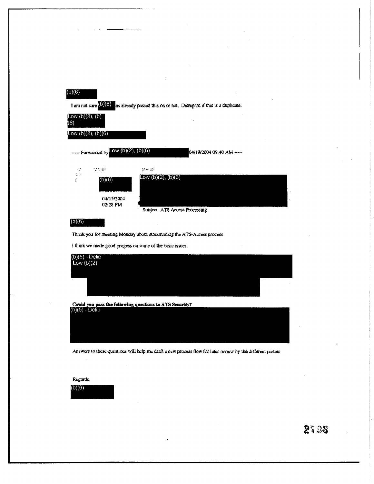# $(b)(6)$

I am not sure  $(6)(6)$  as already passed this on or not. Disregard if this is a duplicate.



Thank you for meeting Monday about streamlining the ATS-Access process.

I think we made good progess on some of the basic issues.

| $(b)(5) - Delib$<br>Low $(b)(2)$ |           |
|----------------------------------|-----------|
|                                  |           |
|                                  | -------   |
| $\sim$                           | . .<br>14 |
|                                  |           |
|                                  |           |
|                                  |           |

Could you pass the following questions to ATS Security?

| (b)(ɔ) - Delib |  |  |
|----------------|--|--|
|                |  |  |
|                |  |  |
|                |  |  |
|                |  |  |
|                |  |  |
|                |  |  |

Answers to these questions will help me draft a new process flow for later review by the different parties

#### Regards.

 $(b)(6)$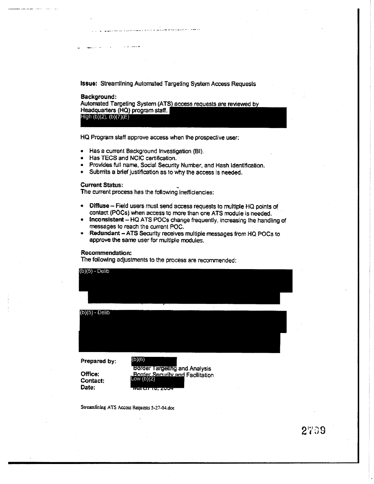**Issue:** Streamlining Automated Targeting System Access Requests

Background: Automated Targeting System (ATS) access requests are reviewed by Headquarters (HQ) program staff. High (b)(2), (b)(7)(E)

HQ Program staff approve access when the prospective user:

- Has a current Background Investigation (BI).
- Has TECS and NCIC certification.

منادين الرازي

- Provides full name, Social Security Number, and Hash Identification.
- Submits a brief justification as to why the access is needed.

# **Current Status:**

The current process has the following inefficiencies:

- Diffuse Field users must send access requests to multiple HQ points of contact (POCs) when access to more than one ATS module is needed.
- Inconsistent HQ ATS POCs change frequently, increasing the handling of messages to reach the current POC.
- Redundant ATS Security receives multiple messages from HQ POCs to approve the same user for multiple modules.

#### Recommendation:

The following adjustments to the process are recommended:



Streamlining ATS Access Requests 5-27-04.doc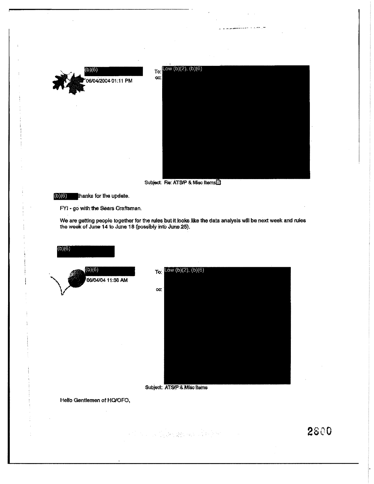

t



Subject: Re: ATS/P & Misc Items



 $(b)(6)$ 

FYI - go with the Sears Craftsman.

We are getting people together for the rules but it looks like the data analysis will be next week and rules the week of June 14 to June 18 (possibly into June 25).



Subject: ATS/P & Misc Items

Hello Gentlemen of HQ/OFO,

2800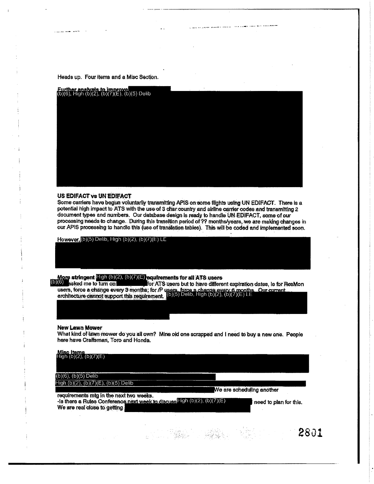Heads up. Four items and a Misc Section.

ومعاصرا الصائب الولوزون وال



li wek ka judjeze guwane i inkulizi . Maa kudata amali ke ya mawaikaanin

#### US EDIFACT Vs UN EDIFACT

Some carriers have begun voluntarily transmitting APIS on some flights using UN EDIFACT. There is a potential high impact to ATS with the use of 3 char country and airline carrier codes and transmitting 2 document types and numbers. Our database design is ready to handle UN EDIFACT, some of our processing needs to change. During this transition period of ?? months/years, we are making changes in our APIS processing to handle this (use of translation tables). This will be coded and implemented soon.

However, (b)(5) Delib, High (b)(2), (b)(7)(E) LE

More stringent  $\text{Eigh (b)(2), (b)(7)(E)}$  equirements for all ATS users<br>(b)(6) asked me to turn on users, force a change every 3 months; for  $P$  users, force a change every 6 months. Our current<br>architecture cannot support this requirement.  $[0)(5)$  Delib, High  $(6)(2)$ ,  $(6)(7)(5)$  LE

#### **New Lawn Mower**

What kind of lawn mower do you all own? Mine old one scrapped and I need to buy a new one. People here have Craftsman, Toro and Honda.

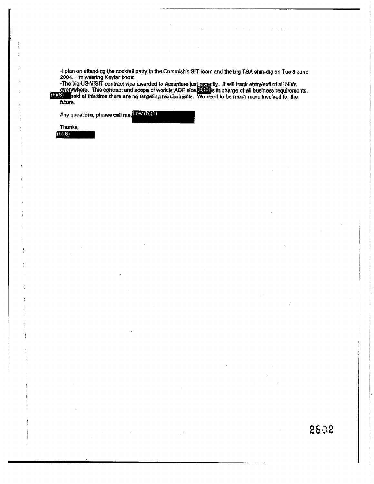-I plan on attending the cocktail party in the Commish's SIT room and the big TSA shin-dig on Tue 8 June 2004. I'm wearing Kevlar boots.

The big US-VISIT contract was awarded to Accenture just recently. It will track entry/exit of all NIVs<br>everywhere. This contract and scope of work is ACE size **(DIO)** is in charge of all business requirements.<br>(b)(6) said

Any questions, please call me, Low (b)(2)

| Thanks. |  |  |  |
|---------|--|--|--|
| (b)(6)  |  |  |  |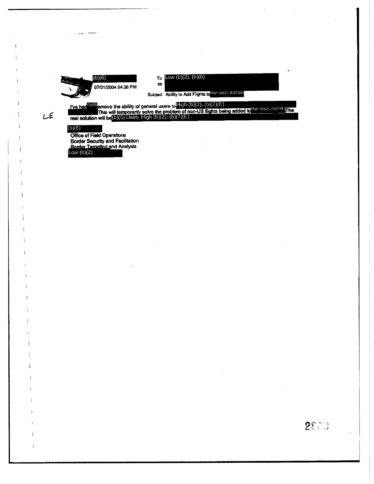

To  $Low (b)(2), (b)(6)$ 

 $\infty$ 

Subject Ability to Add Flights to High (b)(2), (b)(7)(E)

2800

I've had<sup>(b)(6)</sup> amove the ability of general users to  $\frac{f(g h (b))(2)}{g(h)}$ , (b)(7)(E)<br>This will temporarily solve the problem of non-US flights being added to the in (b)(2), (b)(7)(E)<br>real solution will be (0)(5) Delib, Hig

# $(b)(6)$

 $L \in$ 

والمستداد وللأنان

Office of Field Operations<br>Border Security and Facilitation<br>Border Targeting and Analysis<br>Low (b)(2)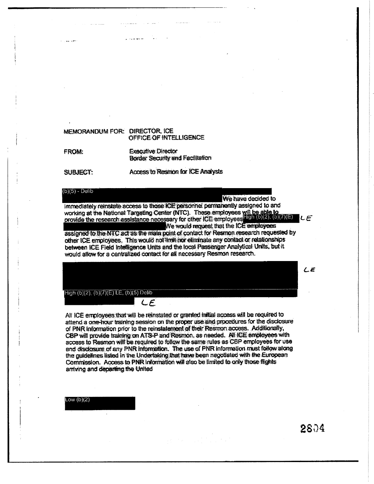# MEMORANDUM FOR: DIRECTOR, ICE OFFICE OF INTELLIGENCE FROM: **Executive Director**

**Border Security and Facilitation** 

**SUBJECT:** 

 $(b)(5) -$  Delib

### We have decided to

immediately reinstate access to those ICE personnel permanently assigned to and working at the National Targeting Center (NTC). These employees will be able to<br>provide the research assistance necessary for other ICE employees 100 (D)(2), (b)(7)(E)  $LE$ We would request that the ICE employees

Access to Resmon for ICE Analysts

assigned to the NTC act as the main point of contact for Resmon research requested by other ICE employees. This would not limit nor eliminate any contact or relationships between ICE Field Intelligence Units and the local Passenger Analytical Units, but it would allow for a centralized contact for all necessary Resmon research.

High (b)(2), (b)(7)(E) LE, (b)(5) Delib

All ICE employees that will be reinstated or granted initial access will be required to attend a one-hour training session on the proper use and procedures for the disclosure of PNR Information prior to the reinstatement of their Resmon access. Additionally, CBP will provide training on ATS-P and Resmon, as needed. All ICE employees with access to Resmon will be required to follow the same rules as CBP employees for use and disclosure of any PNR information. The use of PNR information must follow along the guidelines listed in the Undertaking that have been negotiated with the European Commission. Access to PNR information will also be limited to only those flights arriving and departing the United

 $LE$ 

Low  $(b)(2)$ 

2804

 $LE$